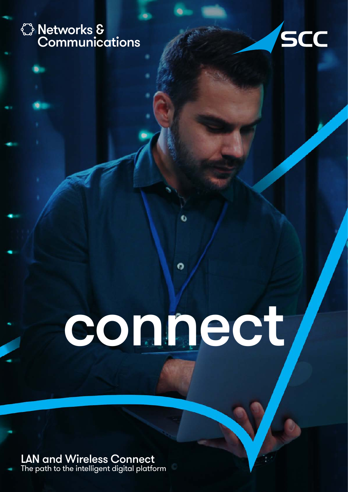## Networks & **Communications**



# connect

 $\Omega$ 

LAN and Wireless Connect The path to the intelligent digital platform